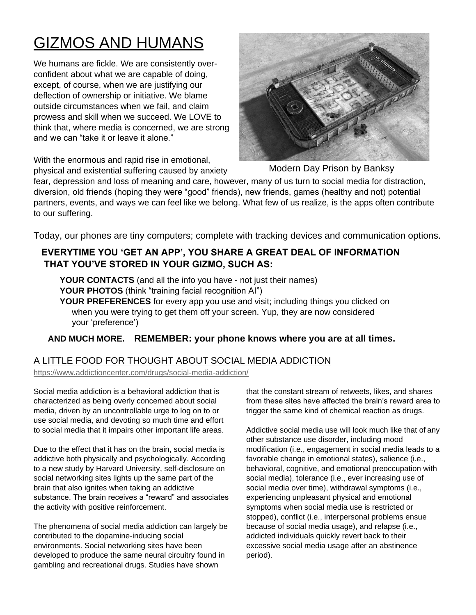# GIZMOS AND HUMANS

We humans are fickle. We are consistently overconfident about what we are capable of doing, except, of course, when we are justifying our deflection of ownership or initiative. We blame outside circumstances when we fail, and claim prowess and skill when we succeed. We LOVE to think that, where media is concerned, we are strong and we can "take it or leave it alone."

With the enormous and rapid rise in emotional,



physical and existential suffering caused by anxiety Modern Day Prison by Banksy

fear, depression and loss of meaning and care, however, many of us turn to social media for distraction, diversion, old friends (hoping they were "good" friends), new friends, games (healthy and not) potential partners, events, and ways we can feel like we belong. What few of us realize, is the apps often contribute to our suffering.

Today, our phones are tiny computers; complete with tracking devices and communication options.

### **EVERYTIME YOU 'GET AN APP', YOU SHARE A GREAT DEAL OF INFORMATION THAT YOU'VE STORED IN YOUR GIZMO, SUCH AS:**

**YOUR CONTACTS** (and all the info you have - not just their names) YOUR PHOTOS (think "training facial recognition AI")

**YOUR PREFERENCES** for every app you use and visit; including things you clicked on when you were trying to get them off your screen. Yup, they are now considered your 'preference')

### **AND MUCH MORE. REMEMBER: your phone knows where you are at all times.**

### A LITTLE FOOD FOR THOUGHT ABOUT SOCIAL MEDIA ADDICTION

<https://www.addictioncenter.com/drugs/social-media-addiction/>

Social media addiction is a behavioral addiction that is characterized as being overly concerned about social media, driven by an uncontrollable urge to log on to or use social media, and devoting so much time and effort to social media that it impairs other important life areas.

Due to the effect that it has on the brain, social media is addictive both physically and psychologically. According to a new study by Harvard University, self-disclosure on social networking sites lights up the same part of the brain that also ignites when taking an addictive substance. The brain receives a "reward" and associates the activity with positive reinforcement.

The phenomena of social media addiction can largely be contributed to the dopamine-inducing social environments. Social networking sites have been developed to produce the same neural circuitry found in gambling and recreational drugs. Studies have shown

that the constant stream of retweets, likes, and shares from these sites have affected the brain's reward area to trigger the same kind of chemical reaction as drugs.

Addictive social media use will look much like that of any other substance use disorder, including mood modification (i.e., engagement in social media leads to a favorable change in emotional states), salience (i.e., behavioral, cognitive, and emotional preoccupation with social media), tolerance (i.e., ever increasing use of social media over time), withdrawal symptoms (i.e., experiencing unpleasant physical and emotional symptoms when social media use is restricted or stopped), conflict (i.e., interpersonal problems ensue because of social media usage), and relapse (i.e., addicted individuals quickly revert back to their excessive social media usage after an abstinence period).